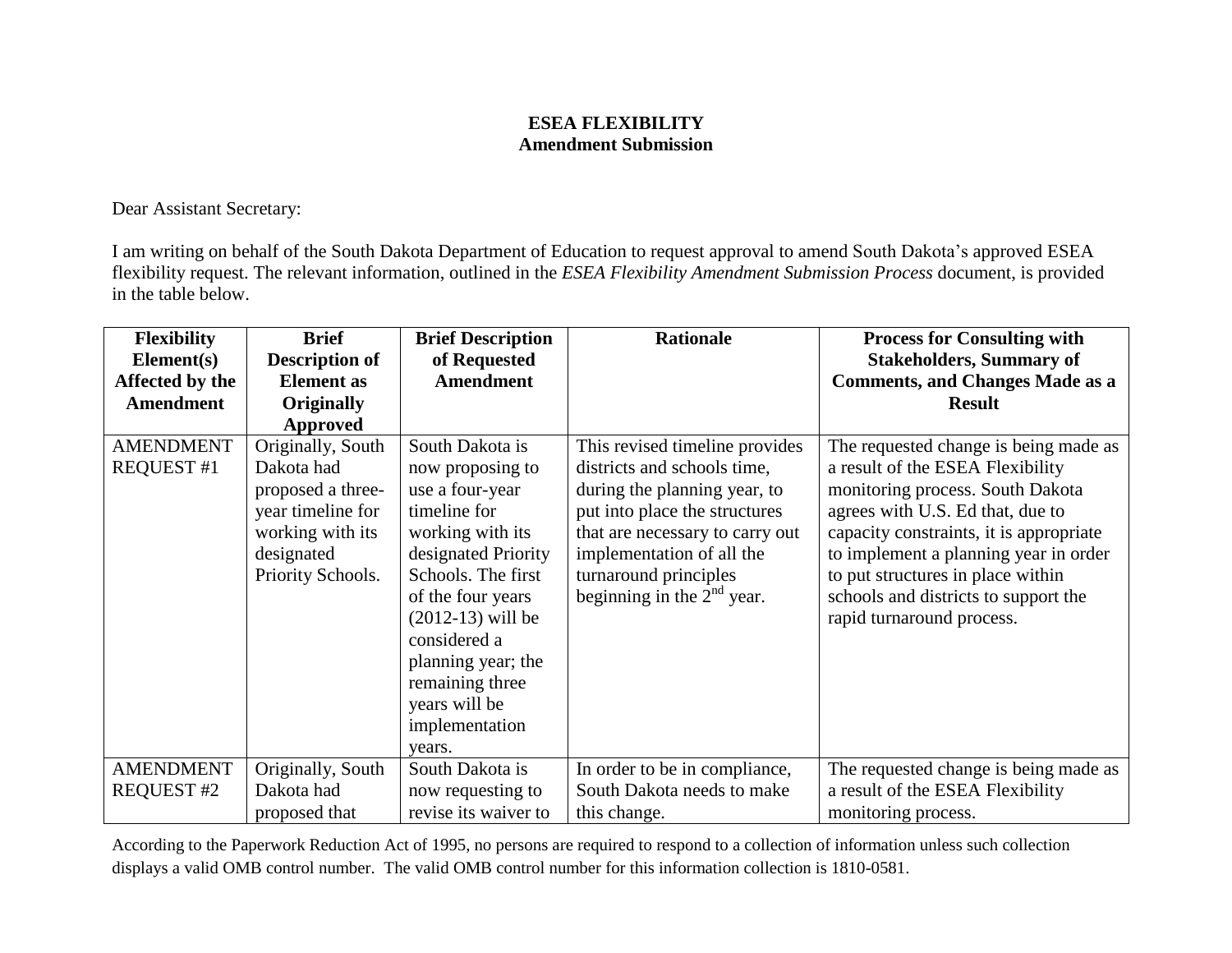## **ESEA FLEXIBILITY Amendment Submission**

Dear Assistant Secretary:

I am writing on behalf of the South Dakota Department of Education to request approval to amend South Dakota's approved ESEA flexibility request. The relevant information, outlined in the *ESEA Flexibility Amendment Submission Process* document, is provided in the table below.

| <b>Flexibility</b>                    | <b>Brief</b>                                                                                                                     | <b>Brief Description</b>                                                                                                                                                                                                                                                                  | <b>Rationale</b>                                                                                                                                                                                                                                        | <b>Process for Consulting with</b>                                                                                                                                                                                                                                                                                                              |
|---------------------------------------|----------------------------------------------------------------------------------------------------------------------------------|-------------------------------------------------------------------------------------------------------------------------------------------------------------------------------------------------------------------------------------------------------------------------------------------|---------------------------------------------------------------------------------------------------------------------------------------------------------------------------------------------------------------------------------------------------------|-------------------------------------------------------------------------------------------------------------------------------------------------------------------------------------------------------------------------------------------------------------------------------------------------------------------------------------------------|
| Element(s)                            | <b>Description of</b>                                                                                                            | of Requested                                                                                                                                                                                                                                                                              |                                                                                                                                                                                                                                                         | <b>Stakeholders, Summary of</b>                                                                                                                                                                                                                                                                                                                 |
| Affected by the                       | <b>Element</b> as                                                                                                                | <b>Amendment</b>                                                                                                                                                                                                                                                                          |                                                                                                                                                                                                                                                         | <b>Comments, and Changes Made as a</b>                                                                                                                                                                                                                                                                                                          |
| <b>Amendment</b>                      | <b>Originally</b>                                                                                                                |                                                                                                                                                                                                                                                                                           |                                                                                                                                                                                                                                                         | <b>Result</b>                                                                                                                                                                                                                                                                                                                                   |
|                                       | Approved                                                                                                                         |                                                                                                                                                                                                                                                                                           |                                                                                                                                                                                                                                                         |                                                                                                                                                                                                                                                                                                                                                 |
| <b>AMENDMENT</b><br><b>REQUEST #1</b> | Originally, South<br>Dakota had<br>proposed a three-<br>year timeline for<br>working with its<br>designated<br>Priority Schools. | South Dakota is<br>now proposing to<br>use a four-year<br>timeline for<br>working with its<br>designated Priority<br>Schools. The first<br>of the four years<br>$(2012-13)$ will be<br>considered a<br>planning year; the<br>remaining three<br>years will be<br>implementation<br>years. | This revised timeline provides<br>districts and schools time,<br>during the planning year, to<br>put into place the structures<br>that are necessary to carry out<br>implementation of all the<br>turnaround principles<br>beginning in the $2nd$ year. | The requested change is being made as<br>a result of the ESEA Flexibility<br>monitoring process. South Dakota<br>agrees with U.S. Ed that, due to<br>capacity constraints, it is appropriate<br>to implement a planning year in order<br>to put structures in place within<br>schools and districts to support the<br>rapid turnaround process. |
| <b>AMENDMENT</b><br><b>REQUEST #2</b> | Originally, South<br>Dakota had                                                                                                  | South Dakota is<br>now requesting to                                                                                                                                                                                                                                                      | In order to be in compliance,<br>South Dakota needs to make                                                                                                                                                                                             | The requested change is being made as<br>a result of the ESEA Flexibility                                                                                                                                                                                                                                                                       |
|                                       | proposed that                                                                                                                    | revise its waiver to                                                                                                                                                                                                                                                                      | this change.                                                                                                                                                                                                                                            | monitoring process.                                                                                                                                                                                                                                                                                                                             |

According to the Paperwork Reduction Act of 1995, no persons are required to respond to a collection of information unless such collection displays a valid OMB control number. The valid OMB control number for this information collection is 1810-0581.